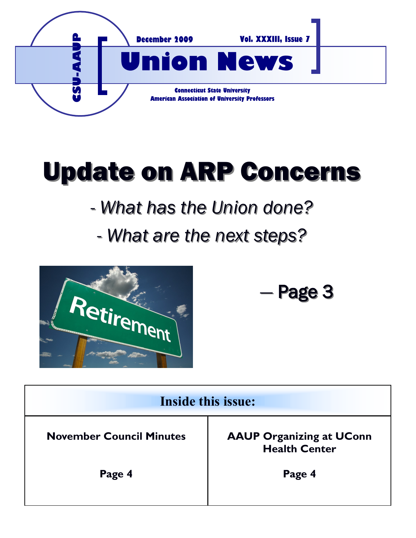

# Update on ARP Concerns

# *- What has the Union done?*

## *- What are the next steps?*



*—* Page 3

| <b>Inside this issue:</b>       |                                                         |
|---------------------------------|---------------------------------------------------------|
| <b>November Council Minutes</b> | <b>AAUP Organizing at UConn</b><br><b>Health Center</b> |
| Page 4                          | Page 4                                                  |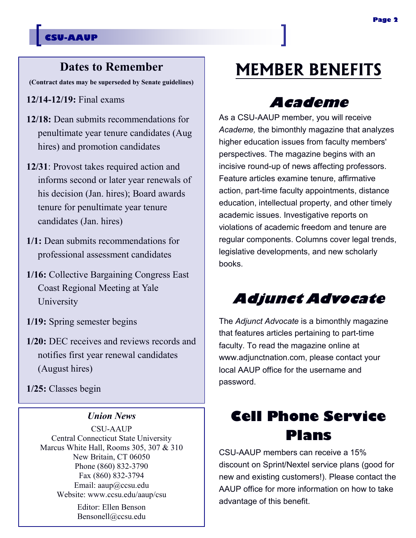#### **CSU-AAUP**

#### **Dates to Remember**

**(Contract dates may be superseded by Senate guidelines)**

**12/14-12/19:** Final exams

- **12/18:** Dean submits recommendations for penultimate year tenure candidates (Aug hires) and promotion candidates
- **12/31**: Provost takes required action and informs second or later year renewals of his decision (Jan. hires); Board awards tenure for penultimate year tenure candidates (Jan. hires)
- **1/1:** Dean submits recommendations for professional assessment candidates
- **1/16:** Collective Bargaining Congress East Coast Regional Meeting at Yale University
- **1/19:** Spring semester begins
- **1/20:** DEC receives and reviews records and notifies first year renewal candidates (August hires)

**1/25:** Classes begin

#### *Union News*

CSU-AAUP Central Connecticut State University Marcus White Hall, Rooms 305, 307 & 310 New Britain, CT 06050 Phone (860) 832-3790 Fax (860) 832-3794 Email: aaup@ccsu.edu Website: www.ccsu.edu/aaup/csu

> Editor: Ellen Benson Bensonell@ccsu.edu

### **MEMBER BENEFITS**

#### **Academe**

As a CSU-AAUP member, you will receive *Academe,* the bimonthly magazine that analyzes higher education issues from faculty members' perspectives. The magazine begins with an incisive round-up of news affecting professors. Feature articles examine tenure, affirmative action, part-time faculty appointments, distance education, intellectual property, and other timely academic issues. Investigative reports on violations of academic freedom and tenure are regular components. Columns cover legal trends, legislative developments, and new scholarly books.

### **Adjunct Advocate**

The *Adjunct Advocate* is a bimonthly magazine that features articles pertaining to part-time faculty. To read the magazine online at www.adjunctnation.com, please contact your local AAUP office for the username and password.

### **Cell Phone Service Plans**

CSU-AAUP members can receive a 15% discount on Sprint/Nextel service plans (good for new and existing customers!). Please contact the AAUP office for more information on how to take advantage of this benefit.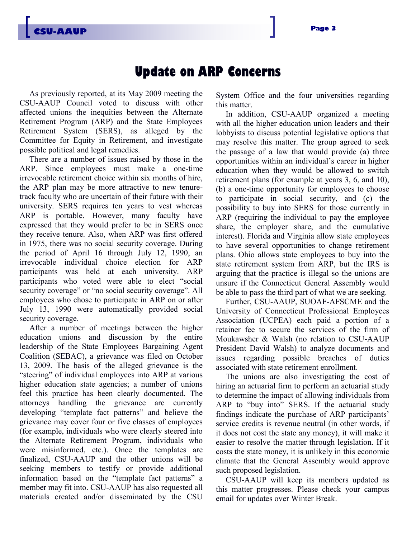#### **Update on ARP Concerns**

As previously reported, at its May 2009 meeting the CSU-AAUP Council voted to discuss with other affected unions the inequities between the Alternate Retirement Program (ARP) and the State Employees Retirement System (SERS), as alleged by the Committee for Equity in Retirement, and investigate possible political and legal remedies.

There are a number of issues raised by those in the ARP. Since employees must make a one-time irrevocable retirement choice within six months of hire, the ARP plan may be more attractive to new tenuretrack faculty who are uncertain of their future with their university. SERS requires ten years to vest whereas ARP is portable. However, many faculty have expressed that they would prefer to be in SERS once they receive tenure. Also, when ARP was first offered in 1975, there was no social security coverage. During the period of April 16 through July 12, 1990, an irrevocable individual choice election for ARP participants was held at each university. ARP participants who voted were able to elect "social security coverage" or "no social security coverage". All employees who chose to participate in ARP on or after July 13, 1990 were automatically provided social security coverage.

After a number of meetings between the higher education unions and discussion by the entire leadership of the State Employees Bargaining Agent Coalition (SEBAC), a grievance was filed on October 13, 2009. The basis of the alleged grievance is the "steering" of individual employees into ARP at various higher education state agencies; a number of unions feel this practice has been clearly documented. The attorneys handling the grievance are currently developing "template fact patterns" and believe the grievance may cover four or five classes of employees (for example, individuals who were clearly steered into the Alternate Retirement Program, individuals who were misinformed, etc.). Once the templates are finalized, CSU-AAUP and the other unions will be seeking members to testify or provide additional information based on the "template fact patterns" a member may fit into. CSU-AAUP has also requested all materials created and/or disseminated by the CSU System Office and the four universities regarding this matter.

In addition, CSU-AAUP organized a meeting with all the higher education union leaders and their lobbyists to discuss potential legislative options that may resolve this matter. The group agreed to seek the passage of a law that would provide (a) three opportunities within an individual's career in higher education when they would be allowed to switch retirement plans (for example at years 3, 6, and 10), (b) a one-time opportunity for employees to choose to participate in social security, and (c) the possibility to buy into SERS for those currently in ARP (requiring the individual to pay the employee share, the employer share, and the cumulative interest). Florida and Virginia allow state employees to have several opportunities to change retirement plans. Ohio allows state employees to buy into the state retirement system from ARP, but the IRS is arguing that the practice is illegal so the unions are unsure if the Connecticut General Assembly would be able to pass the third part of what we are seeking.

Further, CSU-AAUP, SUOAF-AFSCME and the University of Connecticut Professional Employees Association (UCPEA) each paid a portion of a retainer fee to secure the services of the firm of Moukawsher & Walsh (no relation to CSU-AAUP President David Walsh) to analyze documents and issues regarding possible breaches of duties associated with state retirement enrollment.

The unions are also investigating the cost of hiring an actuarial firm to perform an actuarial study to determine the impact of allowing individuals from ARP to "buy into" SERS. If the actuarial study findings indicate the purchase of ARP participants' service credits is revenue neutral (in other words, if it does not cost the state any money), it will make it easier to resolve the matter through legislation. If it costs the state money, it is unlikely in this economic climate that the General Assembly would approve such proposed legislation.

CSU-AAUP will keep its members updated as this matter progresses. Please check your campus email for updates over Winter Break.